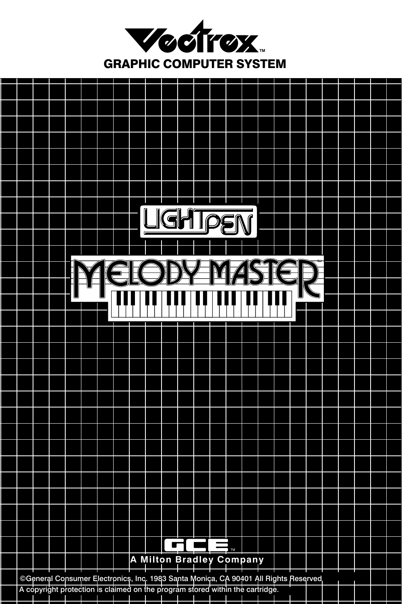

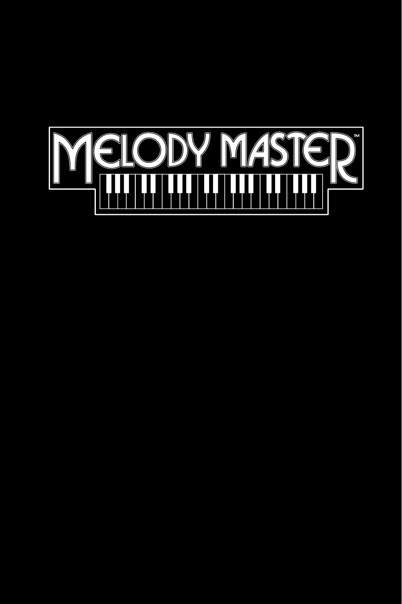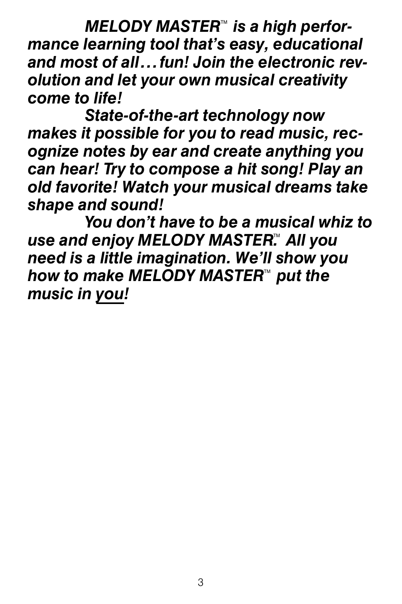*MELODY MASTER*™ is a high perfor*mance learning tool that's easy, educational and most of all...fun! Join the electronic revolution and let your own musical creativity come to life!*

*State-of-the-art technology now makes it possible for you to read music, recognize notes by ear and create anything you can hear! Try to compose a hit song! Play an old favorite! Watch your musical dreams take shape and sound!*

*You don't have to be a musical whiz to*  use and enjoy MELODY MASTER™ All you *need is a little imagination. We'll show you*  how to make MELODY MASTER™ put the *music in you!*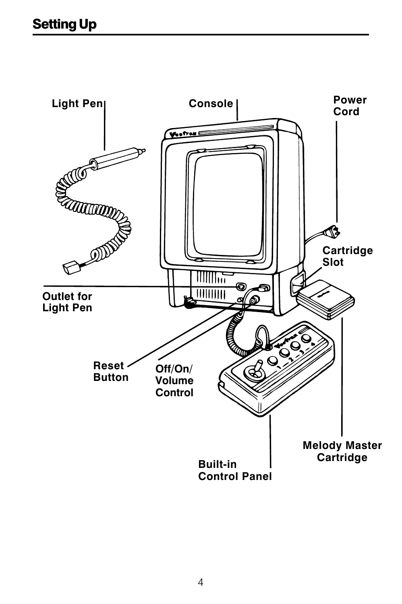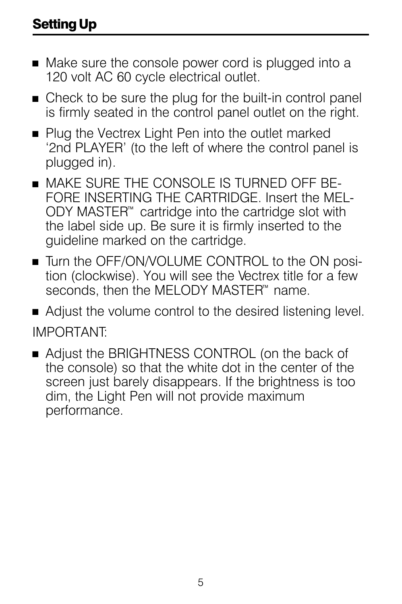- $\blacksquare$  Make sure the console power cord is plugged into a 120 volt AC 60 cycle electrical outlet.
- $\blacksquare$  Check to be sure the plug for the built-in control panel is firmly seated in the control panel outlet on the right.
- Plug the Vectrex Light Pen into the outlet marked '2nd PLAYER' (to the left of where the control panel is plugged in).
- $\blacksquare$  MAKE SURE THE CONSOLE IS TURNED OFF BE-FORE INSERTING THE CARTRIDGE. Insert the MEL- $ODY$  MASTER<sup> $M$ </sup> cartridge into the cartridge slot with the label side up. Be sure it is firmly inserted to the guideline marked on the cartridge.
- Turn the OFF/ON/VOLUME CONTROL to the ON position (clockwise). You will see the Vectrex title for a few seconds, then the MELODY MASTER™ name.
- $\blacksquare$  Adjust the volume control to the desired listening level. IMPORTANT:
- Adjust the BRIGHTNESS CONTROL (on the back of the console) so that the white dot in the center of the screen just barely disappears. If the brightness is too dim, the Light Pen will not provide maximum performance.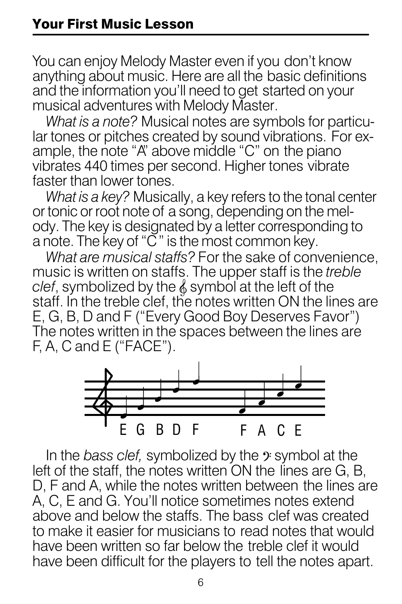You can enjoy Melody Master even if you don't know anything about music. Here are all the basic definitions and the information you'll need to get started on your musical adventures with Melody Master.

*What is a note?* Musical notes are symbols for particular tones or pitches created by sound vibrations. For example, the note "A" above middle "C" on the piano vibrates 440 times per second. Higher tones vibrate faster than lower tones.

*What is a key?* Musically, a key refers to the tonal center or tonic or root note of a song, depending on the melody. The key is designated by a letter corresponding to a note. The key of "C" is the most common key.

*What are musical staffs?* For the sake of convenience, music is written on staffs. The upper staff is the *treble clef*, symbolized by the  $\&$  symbol at the left of the staff. In the treble clef, the notes written ON the lines are E, G, B, D and F ("Every Good Boy Deserves Favor") The notes written in the spaces between the lines are F, A, C and E ("FACE").



In the *bass clef,* symbolized by the  $\hat{y}$  symbol at the left of the staff, the notes written ON the lines are G, B, D, F and A, while the notes written between the lines are A, C, E and G. You'll notice sometimes notes extend above and below the staffs. The bass clef was created to make it easier for musicians to read notes that would have been written so far below the treble clef it would have been difficult for the players to tell the notes apart.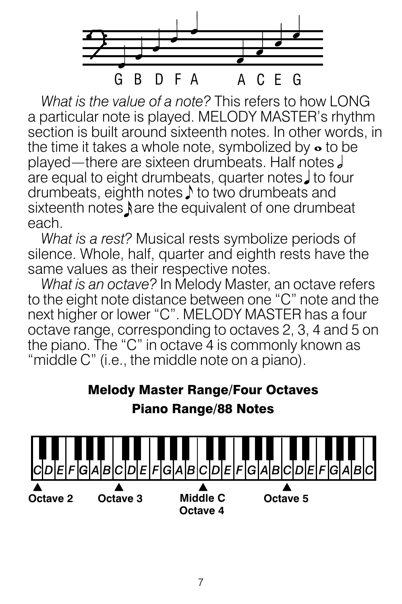

*What is the value of a note?* This refers to how LONG a particular note is played. MELODY MASTER's rhythm section is built around sixteenth notes. In other words, in the time it takes a whole note, symbolized by  $\bullet$  to be played —there are sixteen drumbeats. Half notes are equal to eight drumbeats, quarter notes, to four drumbeats, eighth notes  $\sqrt{\ }$  to two drumbeats and sixteenth notes sare the equivalent of one drumbeat each.

*What is a rest?* Musical rests symbolize periods of silence. Whole, half, quarter and eighth rests have the same values as their respective notes.

*What is an octave?* In Melody Master, an octave refers to the eight note distance between one "C" note and the next higher or lower "C". MELODY MASTER has a four octave range, corresponding to octaves 2, 3, 4 and 5 on the piano. The "C" in octave 4 is commonly known as "middle C" (i.e., the middle note on a piano).

#### Melody Master Range/Four Octaves Piano Range/88 Notes

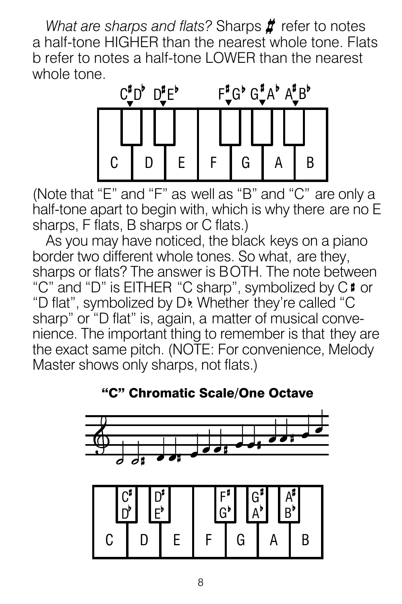*What are sharps and flats? Sharps # refer to notes* a half-tone HIGHER than the nearest whole tone. Flats b refer to notes a half-tone LOWER than the nearest whole tone.



(Note that "E" and "F" as well as "B" and "C" are only a half-tone apart to begin with, which is why there are no E sharps, F flats, B sharps or C flats.)

As you may have noticed, the black keys on a piano border two different whole tones. So what, are they, sharps or flats? The answer is BOTH. The note between "C" and "D" is EITHER "C sharp", symbolized by C<sup>#</sup> or "D flat", symbolized by D<sub>b</sub>. Whether they're called "C sharp" or "D flat" is, again, a matter of musical convenience. The important thing to remember is that they are the exact same pitch. (NOTE: For convenience, Melody Master shows only sharps, not flats.)



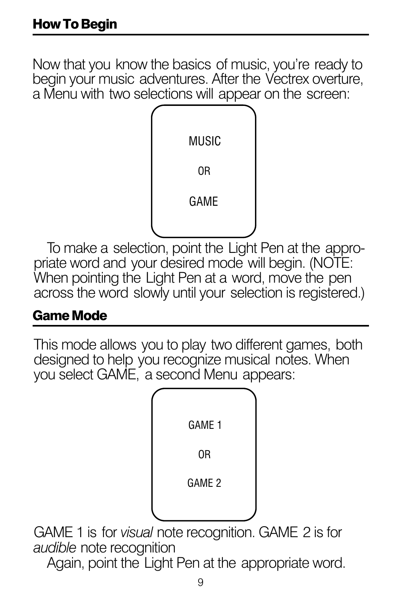Now that you know the basics of music, you're ready to begin your music adventures. After the Vectrex overture, a Menu with two selections will appear on the screen:



To make a selection, point the Light Pen at the appropriate word and your desired mode will begin. (NOTE: When pointing the Light Pen at a word, move the pen across the word slowly until your selection is registered.)

#### Game Mode

This mode allows you to play two different games, both designed to help you recognize musical notes. When you select GAME, a second Menu appears:



GAME 1 is for *visual* note recognition. GAME 2 is for *audible* note recognition

Again, point the Light Pen at the appropriate word.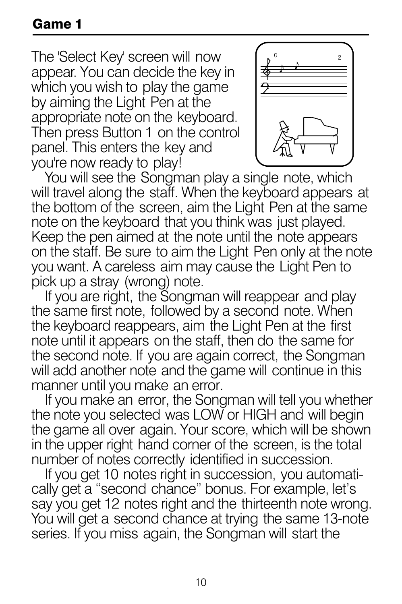The 'Select Key' screen will now appear. You can decide the key in which you wish to play the game by aiming the Light Pen at the appropriate note on the keyboard. Then press Button 1 on the control panel. This enters the key and you're now ready to play!



You will see the Songman play a single note, which will travel along the staff. When the keyboard appears at the bottom of the screen, aim the Light Pen at the same note on the keyboard that you think was just played. Keep the pen aimed at the note until the note appears on the staff. Be sure to aim the Light Pen only at the note you want. A careless aim may cause the Light Pen to pick up a stray (wrong) note.

If you are right, the Songman will reappear and play the same first note, followed by a second note. When the keyboard reappears, aim the Light Pen at the first note until it appears on the staff, then do the same for the second note. If you are again correct, the Songman will add another note and the game will continue in this manner until you make an error.

If you make an error, the Songman will tell you whether the note you selected was LOW or HIGH and will begin the game all over again. Your score, which will be shown in the upper right hand corner of the screen, is the total number of notes correctly identified in succession.

If you get 10 notes right in succession, you automatically get a "second chance" bonus. For example, let's say you get 12 notes right and the thirteenth note wrong. You will get a second chance at trying the same 13-note series. If you miss again, the Songman will start the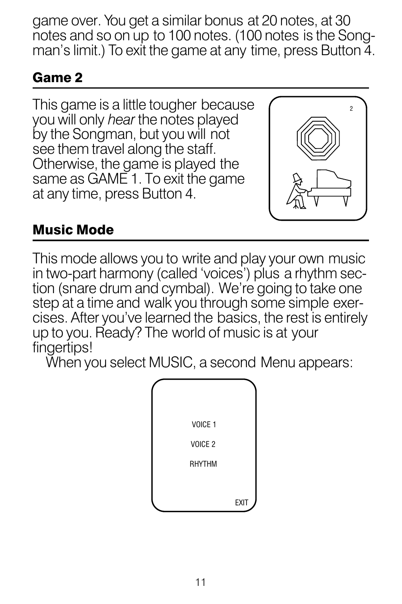game over. You get a similar bonus at 20 notes, at 30 notes and so on up to 100 notes. (100 notes is the Songman's limit.) To exit the game at any time, press Button 4.

### Game 2

This game is a little tougher because you will only *hear* the notes played by the Songman, but you will not see them travel along the staff. Otherwise, the game is played the same as GAME 1. To exit the game at any time, press Button 4.



### Music Mode

This mode allows you to write and play your own music in two-part harmony (called 'voices') plus a rhythm section (snare drum and cymbal). We're going to take one step at a time and walk you through some simple exercises. After you've learned the basics, the rest is entirely up to you. Ready? The world of music is at your fingertips!

When you select MUSIC, a second Menu appears:

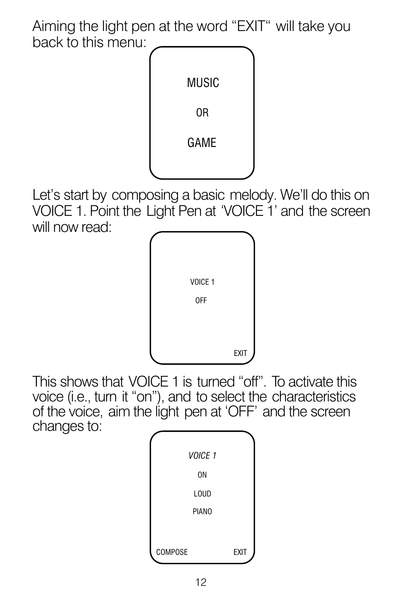Aiming the light pen at the word "EXIT" will take you back to this menu:



Let's start by composing a basic melody. We'll do this on VOICE 1. Point the Light Pen at 'VOICE 1' and the screen will now read:



This shows that VOICE 1 is turned "off". To activate this voice (i.e., turn it "on"), and to select the characteristics of the voice, aim the light pen at 'OFF' and the screen changes to:

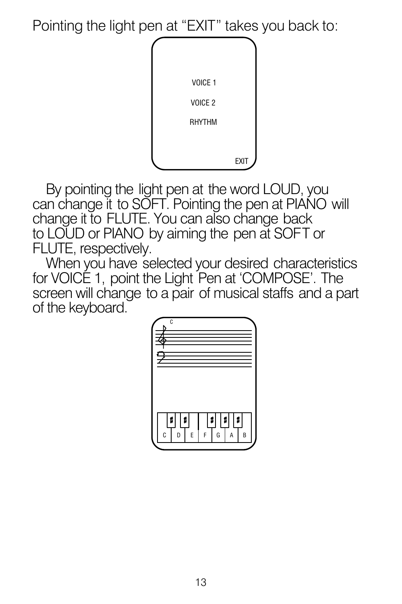Pointing the light pen at "EXIT" takes you back to:



By pointing the light pen at the word LOUD, you can change it to SOFT. Pointing the pen at PIANO will change it to FLUTE. You can also change back to LOUD or PIANO by aiming the pen at SOFT or FLUTE, respectively.

When you have selected your desired characteristics for VOICE 1, point the Light Pen at 'COMPOSE'. The screen will change to a pair of musical staffs and a part of the keyboard.

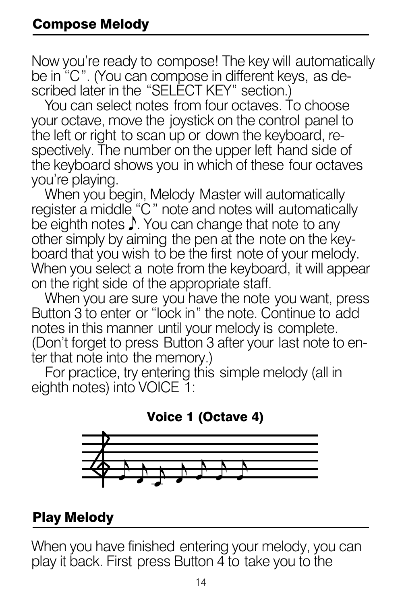Now you're ready to compose! The key will automatically be in "C . (You can compose in different keys, as described later in the "SELECT KEY" section.) " "

You can select notes from four octaves. To choose your octave, move the joystick on the control panel to the left or right to scan up or down the keyboard, respectively. The number on the upper left hand side of the keyboard shows you in which of these four octaves vou're plaving.

When you begin, Melody Master will automatically register a middle "C" note and notes will automatically be eighth notes  $\mathcal I$ . You can change that note to any other simply by aiming the pen at the note on the keyboard that you wish to be the first note of your melody. When you select a note from the keyboard, it will appear on the right side of the appropriate staff. "

When you are sure you have the note you want, press Button 3 to enter or "lock in" the note. Continue to add notes in this manner until your melody is complete. (Don't forget to press Button 3 after your last note to enter that note into the memory.)

For practice, try entering this simple melody (all in eighth notes) into VOICE 1:



### Play Melody

When you have finished entering your melody, you can play it back. First press Button 4 to take you to the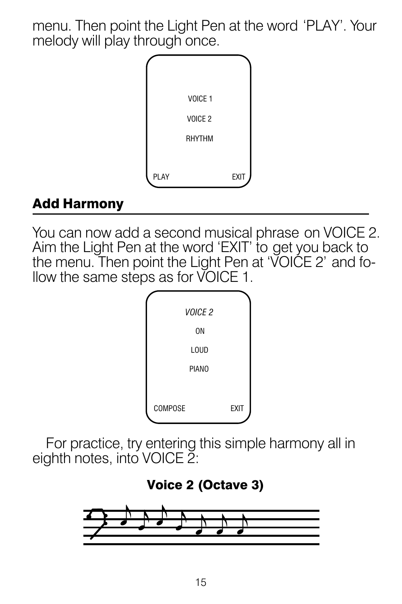menu. Then point the Light Pen at the word 'PLAY'. Your melody will play through once.



### Add Harmony

You can now add a second musical phrase on VOICE 2. Aim the Light Pen at the word 'EXIT' to get you back to the menu. Then point the Light Pen at 'VOICE 2' and follow the same steps as for VOICE 1.



For practice, try entering this simple harmony all in eighth notes, into VOICE 2:

#### Voice 2 (Octave 3)

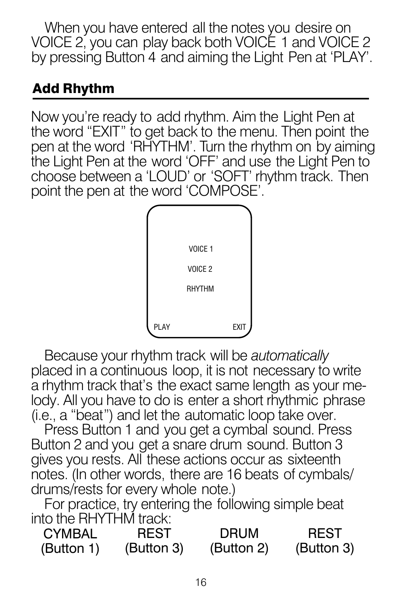When you have entered all the notes you desire on VOICE 2, you can play back both VOICE 1 and VOICE 2 by pressing Button 4 and aiming the Light Pen at 'PLAY'.

### Add Rhythm

Now you're ready to add rhythm. Aim the Light Pen at the word "EXIT" to get back to the menu. Then point the pen at the word 'RHYTHM'. Turn the rhythm on by aiming the Light Pen at the word 'OFF' and use the Light Pen to choose between a 'LOUD' or 'SOFT' rhythm track. Then point the pen at the word 'COMPOSE'. "



Because your rhythm track will be *automatically* placed in a continuous loop, it is not necessary to write a rhythm track that's the exact same length as your melody. All you have to do is enter a short rhythmic phrase (i.e., a "beat") and let the automatic loop take over.

Press Button 1 and you get a cymbal sound. Press Button 2 and you get a snare drum sound. Button 3 gives you rests. All these actions occur as sixteenth notes. (In other words, there are 16 beats of cymbals/ drums/rests for every whole note.)

For practice, try entering the following simple beat into the RHYTHM track:

| <b>CYMBAL</b> | <b>REST</b> | <b>DRUM</b> | <b>REST</b> |
|---------------|-------------|-------------|-------------|
| (Button 1)    | (Button 3)  | (Button 2)  | (Button 3)  |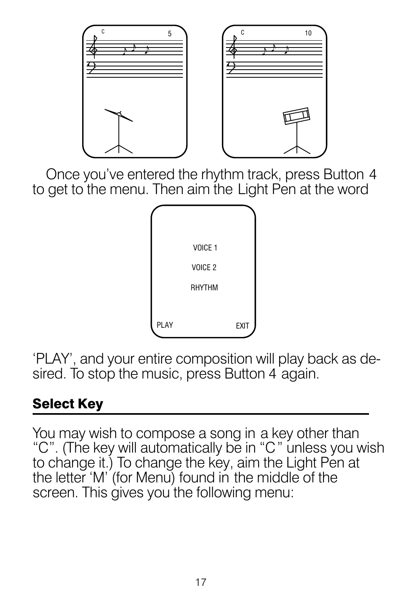

Once you've entered the rhythm track, press Button 4 to get to the menu. Then aim the Light Pen at the word



'PLAY', and your entire composition will play back as desired. To stop the music, press Button 4 again.

## Select Key

You may wish to compose a song in a key other than "C". (The key will automatically be in "C" unless you wish to change it.) To change the key, aim the Light Pen at the letter 'M' (for Menu) found in the middle of the screen. This gives you the following menu: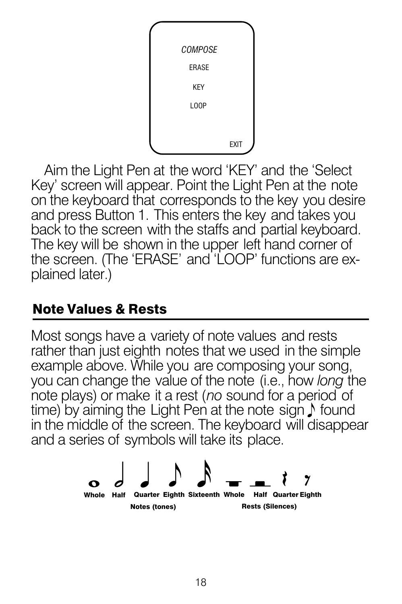

Aim the Light Pen at the word 'KEY' and the 'Select Key' screen will appear. Point the Light Pen at the note on the keyboard that corresponds to the key you desire and press Button 1. This enters the key and takes you back to the screen with the staffs and partial keyboard. The key will be shown in the upper left hand corner of the screen. (The 'ERASE' and 'LOOP' functions are explained later.)

### Note Values & Rests

Most songs have a variety of note values and rests rather than just eighth notes that we used in the simple example above. While you are composing your song, you can change the value of the note (i.e., how *long* the note plays) or make it a rest (*no* sound for a period of time) by aiming the Light Pen at the note sign  $\Lambda$  found in the middle of the screen. The keyboard will disappear and a series of symbols will take its place.

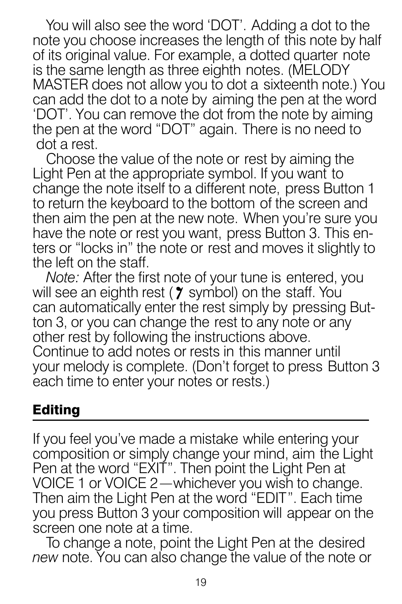You will also see the word 'DOT'. Adding a dot to the note you choose increases the length of this note by half of its original value. For example, a dotted quarter note is the same length as three eighth notes. (MELODY MASTER does not allow you to dot a sixteenth note.) You can add the dot to a note by aiming the pen at the word 'DOT'. You can remove the dot from the note by aiming the pen at the word "DOT" again. There is no need to dot a rest.

Choose the value of the note or rest by aiming the Light Pen at the appropriate symbol. If you want to change the note itself to a different note, press Button 1 to return the keyboard to the bottom of the screen and then aim the pen at the new note. When you're sure you have the note or rest you want, press Button 3. This enters or "locks in" the note or rest and moves it slightly to the left on the staff.

*Note:* After the first note of your tune is entered, you will see an eighth rest ( $\gamma$  symbol) on the staff. You can automatically enter the rest simply by pressing Button 3, or you can change the rest to any note or any other rest by following the instructions above. Continue to add notes or rests in this manner until your melody is complete. (Don't forget to press Button 3 each time to enter your notes or rests.)

### Editing

If you feel you've made a mistake while entering your composition or simply change your mind, aim the Light Pen at the word "EXIT". Then point the Light Pen at VOICE 1 or VOICE 2 whichever you wish to change. Then aim the Light Pen at the word "EDIT". Each time you press Button 3 your composition will appear on the screen one note at a time. " —

To change a note, point the Light Pen at the desired *new* note. You can also change the value of the note or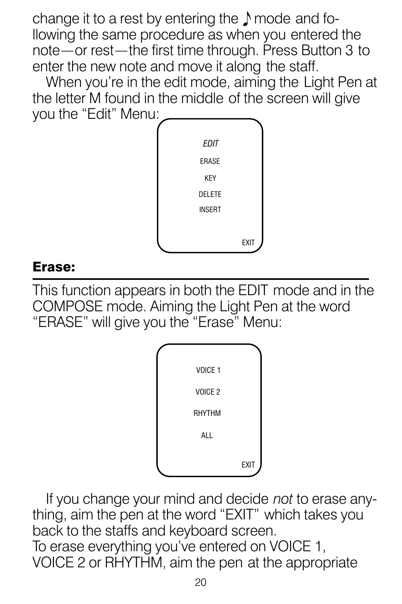change it to a rest by entering the  $\Lambda$  mode and following the same procedure as when you entered the note — or rest — the first time through. Press Button 3 to enter the new note and move it along the staff.

When you're in the edit mode, aiming the Light Pen at the letter M found in the middle of the screen will give you the "Edit" Menu:



#### Erase:

This function appears in both the EDIT mode and in the COMPOSE mode. Aiming the Light Pen at the word "ERASE" will give you the "Erase" Menu:



If you change your mind and decide *not* to erase anything, aim the pen at the word "EXIT" which takes you back to the staffs and keyboard screen. To erase everything you've entered on VOICE 1, VOICE 2 or RHYTHM, aim the pen at the appropriate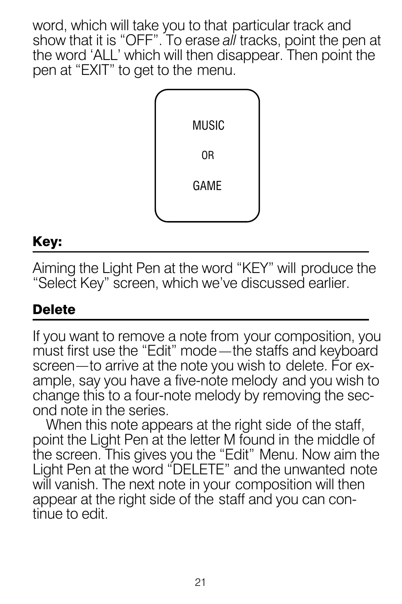word, which will take you to that particular track and show that it is "OFF". To erase *all* tracks, point the pen at the word 'ALL' which will then disappear. Then point the pen at "EXIT" to get to the menu.



#### Key:

Aiming the Light Pen at the word "KEY" will produce the "Select Key" screen, which we've discussed earlier.

### **Delete**

If you want to remove a note from your composition, you must first use the "Edit" mode —the staffs and keyboard screen—to arrive at the note you wish to delete. For example, say you have a five-note melody and you wish to change this to a four-note melody by removing the second note in the series.

When this note appears at the right side of the staff, point the Light Pen at the letter M found in the middle of the screen. This gives you the "Edit" Menu. Now aim the Light Pen at the word "DELETE" and the unwanted note will vanish. The next note in your composition will then appear at the right side of the staff and you can continue to edit.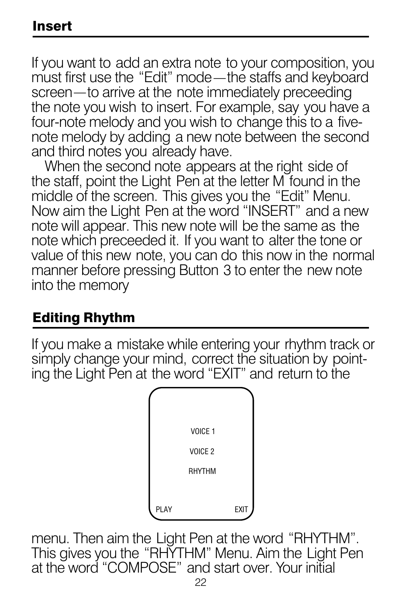#### Insert

If you want to add an extra note to your composition, you must first use the "Edit" mode—the staffs and keyboard screen—to arrive at the note immediately preceeding the note you wish to insert. For example, say you have a four-note melody and you wish to change this to a fivenote melody by adding a new note between the second and third notes you already have.

When the second note appears at the right side of the staff, point the Light Pen at the letter M found in the middle of the screen. This gives you the "Edit" Menu. Now aim the Light Pen at the word "INSERT" and a new note will appear. This new note will be the same as the note which preceeded it. If you want to alter the tone or value of this new note, you can do this now in the normal manner before pressing Button 3 to enter the new note into the memory

#### Editing Rhythm

If you make a mistake while entering your rhythm track or simply change your mind, correct the situation by pointing the Light Pen at the word "EXIT" and return to the



menu. Then aim the Light Pen at the word "RHYTHM". This gives you the "RHYTHM" Menu. Aim the Light Pen at the word "COMPOSE" and start over. Your initial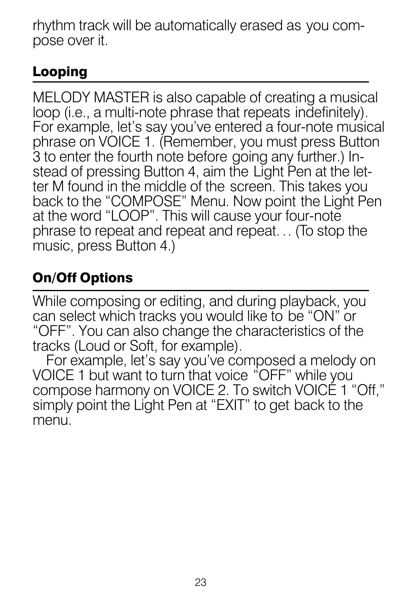rhythm track will be automatically erased as you compose over it.

### Looping

MELODY MASTER is also capable of creating a musical loop (i.e., a multi-note phrase that repeats indefinitely). For example, let's say you've entered a four-note musical phrase on VOICE 1. (Remember, you must press Button 3 to enter the fourth note before going any further.) Instead of pressing Button 4, aim the Light Pen at the letter M found in the middle of the screen. This takes you back to the "COMPOSE" Menu. Now point the Light Pen at the word "LOOP". This will cause your four-note phrase to repeat and repeat and repeat. .. (To stop the music, press Button 4.)

# On/Off Options

While composing or editing, and during playback, you can select which tracks you would like to be "ON" or "OFF". You can also change the characteristics of the tracks (Loud or Soft, for example).

For example, let's say you've composed a melody on VOICE 1 but want to turn that voice "OFF" while you compose harmony on VOICE 2. To switch VOICE 1 "Off," simply point the Light Pen at "EXIT" to get back to the menu.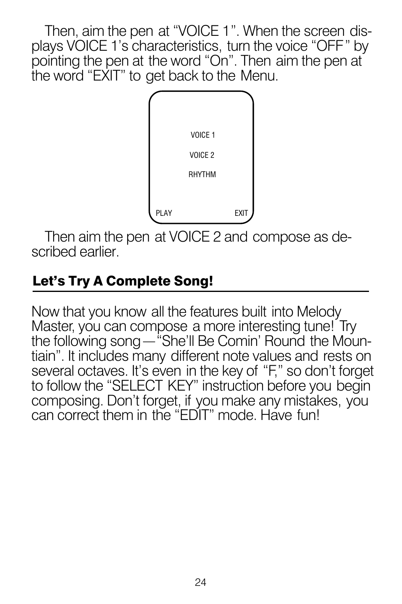Then, aim the pen at "VOICE 1". When the screen displays VOICE 1's characteristics, turn the voice "OFF" by pointing the pen at the word "On". Then aim the pen at the word "EXIT" to get back to the Menu.



Then aim the pen at VOICE 2 and compose as described earlier.

### Let's Try A Complete Song!

Now that you know all the features built into Melody Master, you can compose a more interesting tune! Try the following song—"She'll Be Comin' Round the Mountiain". It includes many different note values and rests on several octaves. It's even in the key of "F," so don't forget to follow the "SELECT KEY" instruction before you begin composing. Don't forget, if you make any mistakes, you can correct them in the "EDIT" mode. Have fun!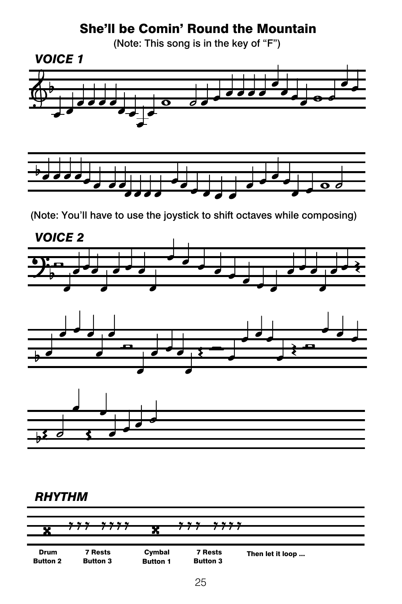#### She'll be Comin' Round the Mountain

(Note: This song is in the key of "F")



(Note: You'll have to use the joystick to shift octaves while composing)



#### *RHYTHM*

|                         | $\sim$ $\sim$ $\sim$<br><b>.</b> |                           | .<br>$\sim$ $\sim$ $\sim$         |                  |
|-------------------------|----------------------------------|---------------------------|-----------------------------------|------------------|
| п<br>.,                 |                                  | m                         |                                   |                  |
|                         |                                  |                           |                                   |                  |
| Drum<br><b>Button 2</b> | 7 Rests<br><b>Button 3</b>       | Cymbal<br><b>Button 1</b> | <b>7 Rests</b><br><b>Button 3</b> | Then let it loop |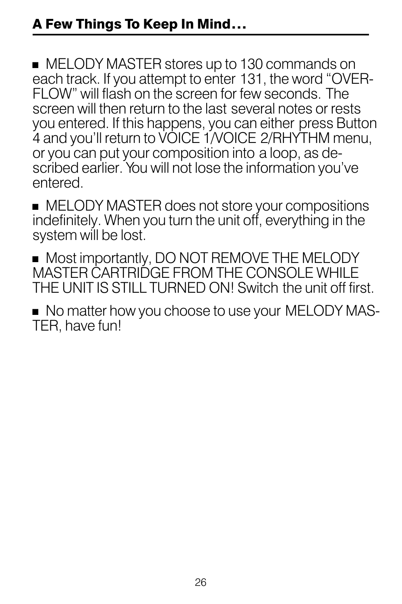**MELODY MASTER stores up to 130 commands on** each track. If you attempt to enter 131, the word "OVER-FLOW" will flash on the screen for few seconds. The screen will then return to the last several notes or rests you entered. If this happens, you can either press Button 4 and you'll return to VOICE 1/VOICE 2/RHYTHM menu, or you can put your composition into a loop, as described earlier. You will not lose the information you've entered.

**MELODY MASTER does not store your compositions** indefinitely. When you turn the unit off, everything in the system will be lost.

**Most importantly, DO NOT REMOVE THE MELODY** MASTER CARTRIDGE FROM THE CONSOLE WHILE THE UNIT IS STILL TURNED ON! Switch the unit off first.

 $\blacksquare$  No matter how you choose to use your MELODY MAS-TER, have fun!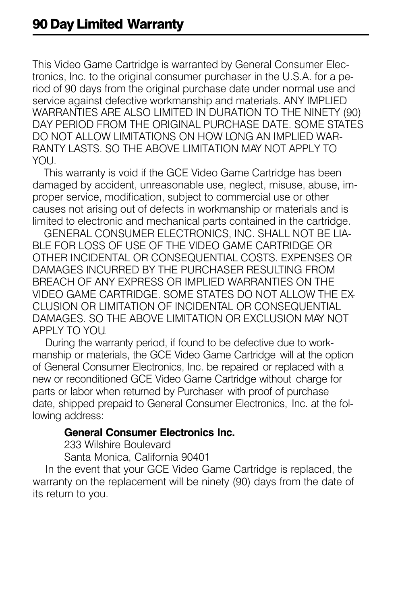This Video Game Cartridge is warranted by General Consumer Electronics, Inc. to the original consumer purchaser in the U.S.A. for a period of 90 days from the original purchase date under normal use and service against defective workmanship and materials. ANY IMPLIED WARRANTIES ARE ALSO LIMITED IN DURATION TO THE NINETY (90) DAY PERIOD FROM THE ORIGINAL PURCHASE DATE. SOME STATES DO NOT ALLOW LIMITATIONS ON HOW LONG AN IMPLIED WAR-RANTY LASTS. SO THE ABOVE LIMITATION MAY NOT APPLY TO YOU.

 This warranty is void if the GCE Video Game Cartridge has been damaged by accident, unreasonable use, neglect, misuse, abuse, improper service, modification, subject to commercial use or other causes not arising out of defects in workmanship or materials and is limited to electronic and mechanical parts contained in the cartridge.

 GENERAL CONSUMER ELECTRONICS, INC. SHALL NOT BE LIA-BLE FOR LOSS OF USE OF THE VIDEO GAME CARTRIDGE OR OTHER INCIDENTAL OR CONSEQUENTIAL COSTS. EXPENSES OR DAMAGES INCURRED BY THE PURCHASER RESULTING FROM BREACH OF ANY EXPRESS OR IMPLIED WARRANTIES ON THE VIDEO GAME CARTRIDGE. SOME STATES DO NOT ALLOW THE EX-CLUSION OR LIMITATION OF INCIDENTAL OR CONSEQUENTIAL DAMAGES. SO THE ABOVE LIMITATION OR EXCLUSION MAY NOT APPLY TO YOU.

 During the warranty period, if found to be defective due to workmanship or materials, the GCE Video Game Cartridge will at the option of General Consumer Electronics, Inc. be repaired or replaced with a new or reconditioned GCE Video Game Cartridge without charge for parts or labor when returned by Purchaser with proof of purchase date, shipped prepaid to General Consumer Electronics, Inc. at the following address:

#### **General Consumer Electronics Inc.**

233 Wilshire Boulevard

Santa Monica, California 90401

 In the event that your GCE Video Game Cartridge is replaced, the warranty on the replacement will be ninety (90) days from the date of its return to you.